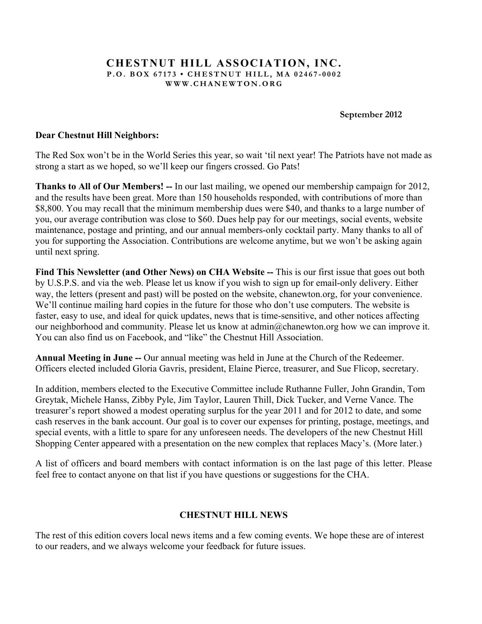### **CHESTNUT HILL ASSOCIATION, INC. P.O. BOX 67173 • CHESTNUT HILL, MA 02467 - 0002 WWW.CHANEWTON.ORG**

**September 2012**

### **Dear Chestnut Hill Neighbors:**

The Red Sox won't be in the World Series this year, so wait 'til next year! The Patriots have not made as strong a start as we hoped, so we'll keep our fingers crossed. Go Pats!

**Thanks to All of Our Members! --** In our last mailing, we opened our membership campaign for 2012, and the results have been great. More than 150 households responded, with contributions of more than \$8,800. You may recall that the minimum membership dues were \$40, and thanks to a large number of you, our average contribution was close to \$60. Dues help pay for our meetings, social events, website maintenance, postage and printing, and our annual members-only cocktail party. Many thanks to all of you for supporting the Association. Contributions are welcome anytime, but we won't be asking again until next spring.

Find This Newsletter (and Other News) on CHA Website -- This is our first issue that goes out both by U.S.P.S. and via the web. Please let us know if you wish to sign up for email-only delivery. Either way, the letters (present and past) will be posted on the website, chanewton.org, for your convenience. We'll continue mailing hard copies in the future for those who don't use computers. The website is faster, easy to use, and ideal for quick updates, news that is time-sensitive, and other notices affecting our neighborhood and community. Please let us know at admin@chanewton.org how we can improve it. You can also find us on Facebook, and "like" the Chestnut Hill Association.

**Annual Meeting in June --** Our annual meeting was held in June at the Church of the Redeemer. Officers elected included Gloria Gavris, president, Elaine Pierce, treasurer, and Sue Flicop, secretary.

In addition, members elected to the Executive Committee include Ruthanne Fuller, John Grandin, Tom Greytak, Michele Hanss, Zibby Pyle, Jim Taylor, Lauren Thill, Dick Tucker, and Verne Vance. The treasurer's report showed a modest operating surplus for the year 2011 and for 2012 to date, and some cash reserves in the bank account. Our goal is to cover our expenses for printing, postage, meetings, and special events, with a little to spare for any unforeseen needs. The developers of the new Chestnut Hill Shopping Center appeared with a presentation on the new complex that replaces Macy's. (More later.)

A list of officers and board members with contact information is on the last page of this letter. Please feel free to contact anyone on that list if you have questions or suggestions for the CHA.

#### **CHESTNUT HILL NEWS**

The rest of this edition covers local news items and a few coming events. We hope these are of interest to our readers, and we always welcome your feedback for future issues.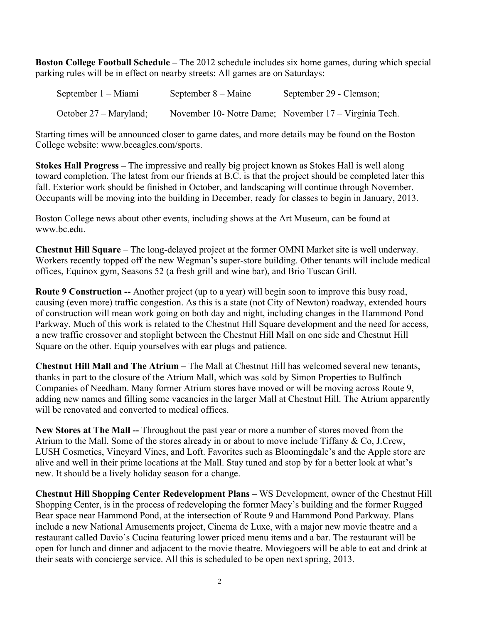**Boston College Football Schedule –** The 2012 schedule includes six home games, during which special parking rules will be in effect on nearby streets: All games are on Saturdays:

| September 1 – Miami    | September 8 – Maine | September 29 - Clemson;                               |
|------------------------|---------------------|-------------------------------------------------------|
| October 27 – Maryland; |                     | November 10- Notre Dame; November 17 – Virginia Tech. |

Starting times will be announced closer to game dates, and more details may be found on the Boston College website: www.bceagles.com/sports.

**Stokes Hall Progress –** The impressive and really big project known as Stokes Hall is well along toward completion. The latest from our friends at B.C. is that the project should be completed later this fall. Exterior work should be finished in October, and landscaping will continue through November. Occupants will be moving into the building in December, ready for classes to begin in January, 2013.

Boston College news about other events, including shows at the Art Museum, can be found at www.bc.edu.

**Chestnut Hill Square** – The long-delayed project at the former OMNI Market site is well underway. Workers recently topped off the new Wegman's super-store building. Other tenants will include medical offices, Equinox gym, Seasons 52 (a fresh grill and wine bar), and Brio Tuscan Grill.

**Route 9 Construction --** Another project (up to a year) will begin soon to improve this busy road, causing (even more) traffic congestion. As this is a state (not City of Newton) roadway, extended hours of construction will mean work going on both day and night, including changes in the Hammond Pond Parkway. Much of this work is related to the Chestnut Hill Square development and the need for access, a new traffic crossover and stoplight between the Chestnut Hill Mall on one side and Chestnut Hill Square on the other. Equip yourselves with ear plugs and patience.

**Chestnut Hill Mall and The Atrium –** The Mall at Chestnut Hill has welcomed several new tenants, thanks in part to the closure of the Atrium Mall, which was sold by Simon Properties to Bulfinch Companies of Needham. Many former Atrium stores have moved or will be moving across Route 9, adding new names and filling some vacancies in the larger Mall at Chestnut Hill. The Atrium apparently will be renovated and converted to medical offices.

**New Stores at The Mall --** Throughout the past year or more a number of stores moved from the Atrium to the Mall. Some of the stores already in or about to move include Tiffany & Co, J.Crew, LUSH Cosmetics, Vineyard Vines, and Loft. Favorites such as Bloomingdale's and the Apple store are alive and well in their prime locations at the Mall. Stay tuned and stop by for a better look at what's new. It should be a lively holiday season for a change.

**Chestnut Hill Shopping Center Redevelopment Plans** – WS Development, owner of the Chestnut Hill Shopping Center, is in the process of redeveloping the former Macy's building and the former Rugged Bear space near Hammond Pond, at the intersection of Route 9 and Hammond Pond Parkway. Plans include a new National Amusements project, Cinema de Luxe, with a major new movie theatre and a restaurant called Davio's Cucina featuring lower priced menu items and a bar. The restaurant will be open for lunch and dinner and adjacent to the movie theatre. Moviegoers will be able to eat and drink at their seats with concierge service. All this is scheduled to be open next spring, 2013.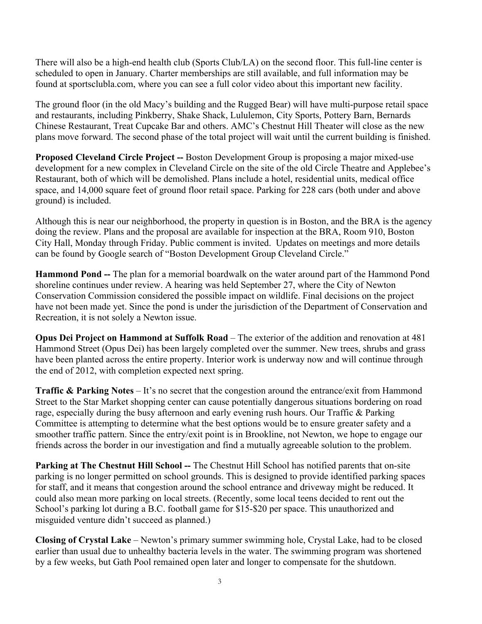There will also be a high-end health club (Sports Club/LA) on the second floor. This full-line center is scheduled to open in January. Charter memberships are still available, and full information may be found at sportsclubla.com, where you can see a full color video about this important new facility.

The ground floor (in the old Macy's building and the Rugged Bear) will have multi-purpose retail space and restaurants, including Pinkberry, Shake Shack, Lululemon, City Sports, Pottery Barn, Bernards Chinese Restaurant, Treat Cupcake Bar and others. AMC's Chestnut Hill Theater will close as the new plans move forward. The second phase of the total project will wait until the current building is finished.

**Proposed Cleveland Circle Project --** Boston Development Group is proposing a major mixed-use development for a new complex in Cleveland Circle on the site of the old Circle Theatre and Applebee's Restaurant, both of which will be demolished. Plans include a hotel, residential units, medical office space, and 14,000 square feet of ground floor retail space. Parking for 228 cars (both under and above ground) is included.

Although this is near our neighborhood, the property in question is in Boston, and the BRA is the agency doing the review. Plans and the proposal are available for inspection at the BRA, Room 910, Boston City Hall, Monday through Friday. Public comment is invited. Updates on meetings and more details can be found by Google search of "Boston Development Group Cleveland Circle."

**Hammond Pond --** The plan for a memorial boardwalk on the water around part of the Hammond Pond shoreline continues under review. A hearing was held September 27, where the City of Newton Conservation Commission considered the possible impact on wildlife. Final decisions on the project have not been made yet. Since the pond is under the jurisdiction of the Department of Conservation and Recreation, it is not solely a Newton issue.

**Opus Dei Project on Hammond at Suffolk Road** – The exterior of the addition and renovation at 481 Hammond Street (Opus Dei) has been largely completed over the summer. New trees, shrubs and grass have been planted across the entire property. Interior work is underway now and will continue through the end of 2012, with completion expected next spring.

**Traffic & Parking Notes** – It's no secret that the congestion around the entrance/exit from Hammond Street to the Star Market shopping center can cause potentially dangerous situations bordering on road rage, especially during the busy afternoon and early evening rush hours. Our Traffic & Parking Committee is attempting to determine what the best options would be to ensure greater safety and a smoother traffic pattern. Since the entry/exit point is in Brookline, not Newton, we hope to engage our friends across the border in our investigation and find a mutually agreeable solution to the problem.

**Parking at The Chestnut Hill School --** The Chestnut Hill School has notified parents that on-site parking is no longer permitted on school grounds. This is designed to provide identified parking spaces for staff, and it means that congestion around the school entrance and driveway might be reduced. It could also mean more parking on local streets. (Recently, some local teens decided to rent out the School's parking lot during a B.C. football game for \$15-\$20 per space. This unauthorized and misguided venture didn't succeed as planned.)

**Closing of Crystal Lake** – Newton's primary summer swimming hole, Crystal Lake, had to be closed earlier than usual due to unhealthy bacteria levels in the water. The swimming program was shortened by a few weeks, but Gath Pool remained open later and longer to compensate for the shutdown.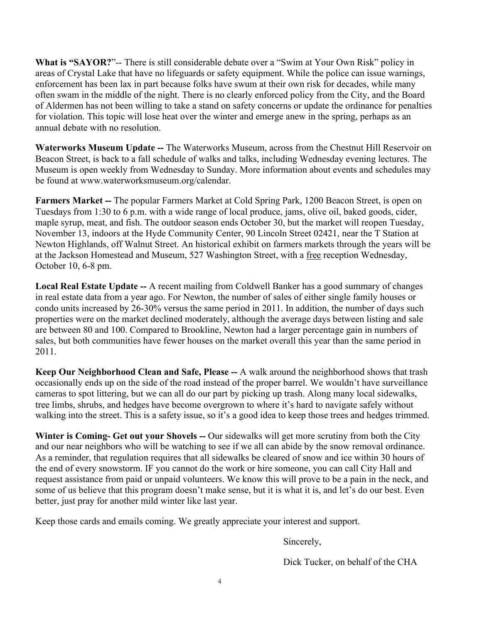**What is "SAYOR?**"-- There is still considerable debate over a "Swim at Your Own Risk" policy in areas of Crystal Lake that have no lifeguards or safety equipment. While the police can issue warnings, enforcement has been lax in part because folks have swum at their own risk for decades, while many often swam in the middle of the night. There is no clearly enforced policy from the City, and the Board of Aldermen has not been willing to take a stand on safety concerns or update the ordinance for penalties for violation. This topic will lose heat over the winter and emerge anew in the spring, perhaps as an annual debate with no resolution.

**Waterworks Museum Update --** The Waterworks Museum, across from the Chestnut Hill Reservoir on Beacon Street, is back to a fall schedule of walks and talks, including Wednesday evening lectures. The Museum is open weekly from Wednesday to Sunday. More information about events and schedules may be found at www.waterworksmuseum.org/calendar.

**Farmers Market --** The popular Farmers Market at Cold Spring Park, 1200 Beacon Street, is open on Tuesdays from 1:30 to 6 p.m. with a wide range of local produce, jams, olive oil, baked goods, cider, maple syrup, meat, and fish. The outdoor season ends October 30, but the market will reopen Tuesday, November 13, indoors at the Hyde Community Center, 90 Lincoln Street 02421, near the T Station at Newton Highlands, off Walnut Street. An historical exhibit on farmers markets through the years will be at the Jackson Homestead and Museum, 527 Washington Street, with a free reception Wednesday, October 10, 6-8 pm.

**Local Real Estate Update --** A recent mailing from Coldwell Banker has a good summary of changes in real estate data from a year ago. For Newton, the number of sales of either single family houses or condo units increased by 26-30% versus the same period in 2011. In addition, the number of days such properties were on the market declined moderately, although the average days between listing and sale are between 80 and 100. Compared to Brookline, Newton had a larger percentage gain in numbers of sales, but both communities have fewer houses on the market overall this year than the same period in 2011.

**Keep Our Neighborhood Clean and Safe, Please --** A walk around the neighborhood shows that trash occasionally ends up on the side of the road instead of the proper barrel. We wouldn't have surveillance cameras to spot littering, but we can all do our part by picking up trash. Along many local sidewalks, tree limbs, shrubs, and hedges have become overgrown to where it's hard to navigate safely without walking into the street. This is a safety issue, so it's a good idea to keep those trees and hedges trimmed.

**Winter is Coming- Get out your Shovels --** Our sidewalks will get more scrutiny from both the City and our near neighbors who will be watching to see if we all can abide by the snow removal ordinance. As a reminder, that regulation requires that all sidewalks be cleared of snow and ice within 30 hours of the end of every snowstorm. IF you cannot do the work or hire someone, you can call City Hall and request assistance from paid or unpaid volunteers. We know this will prove to be a pain in the neck, and some of us believe that this program doesn't make sense, but it is what it is, and let's do our best. Even better, just pray for another mild winter like last year.

Keep those cards and emails coming. We greatly appreciate your interest and support.

Sincerely,

Dick Tucker, on behalf of the CHA